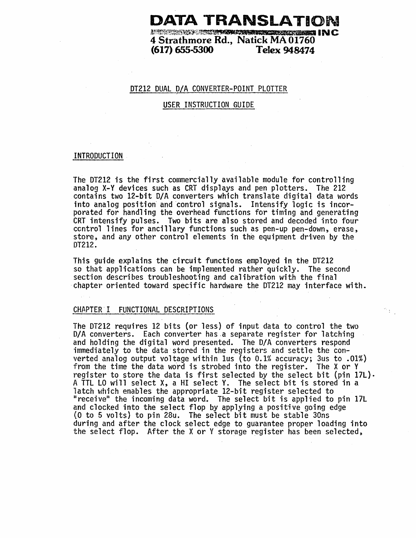# **DATA TRANSLATION**

 $1$   $\sim$   $\sim$   $\sim$   $\sim$   $\sim$   $\sim$   $\sim$ **4 Strathmore Rd., Natick MA 01760 (617) 655-5300** 

# OT212 DUAL *DIA* CONVERTER-POINT PLOTTER ;

# USER INSTRUCTION GUIDE

#### INTRODUCTION

The OT212 is the first commercially available module for controlling analog x-v devices such as CRT displays and pen plotters. The 212 contains two 12-bit *DIA* converters which translate digital data words into analog position and control signals. Intensify logic is incorporated for handling the overhead functions for timing and generating CRT intensify pulses. Two bits are also stored and decoded into four centrol lines for ancillary functions such as pen-up pen-down, erase, store, and any other control elements in the equipment driven by the DT212.

This guide explains the circuit functions employed in the DT212 so that applications can be implemented rather quickly. The second section describes troubleshooting and calibration with the final 'chapter oriented toward specific hardware the OT212 may interface with ..

 $\gamma_{\rm{in}}$ 

## CHAPTER I FUNCTIONAL DESCRIPTIONS

The DT212 requires 12 bits (or less) of input data to control the two D/A converters. Each converter has.a separate register for latching and holding the digital word presented. The *DIA* converters respond immediately to the data'stored in the registers and settle the converted analog output voltage within lus (to 0.1% accuracy; 3us to .01%) from the time the data word is strobed into the register. The X or Y register to store the data is first selected by the select bit (pin  $17L$ ). A TTL LO will select X, a HI select Y. The select bit is stored in a latch which enables the appropriate 12-bit register selected to "receive" the incoming data word. The select bit is applied to pin 17L<br>and clocked into the select flop by applying a positive going edge  $(0$  to 5 volts) to pin 28u. The select bit must be stable 30ns during and after the clock select edge to guarantee proper loading into the select flop. After the X or Y storage register has been selected,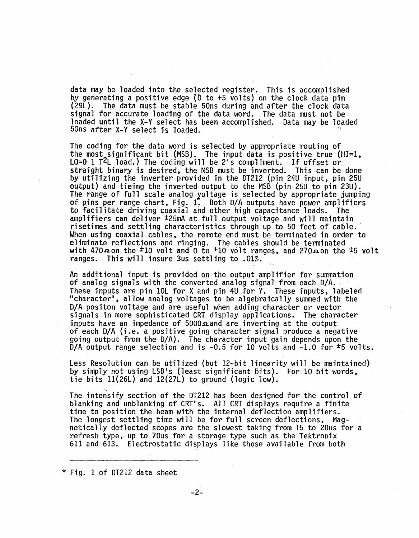data may be loaded into the selected register. This is accomplished by generating a positive e'dge (0 to +5 volts) on the clock data pin (29L). The data must be stable 50ns during and after the clock data signal for accurate loading of the data word. The data must not be loaded until the X-Y select has been accomplished. Data may be loaded 50ns after X-V select is loaded. <sup>~</sup>

The coding for the data word is selected by appropriate routing of the most significant bit (MSB). The input data is positive true (HI=1,  $L0=0$  1 T<sup>2</sup>L load.) The coding will be 2's compliment. If offset or straight binary is desired, the MSB must be inverted. This can be done by utilizing the inverter provided in the DT212 (pin 24U input, pin 25U output) and tieing the inverted output to the MSB (pin 25U to pin 23U). The range of full scale analog voltage is selected by appropriate jumping of pins per range chart, Fig. 1. Both D/A outputs have power amplifiers to facilitate driving coaxial and other high capacitance loads. The amplifiers can deliver  $\pm$ 25mA at full output voltage and will maintain risetimes and settling characteristics through up to 50 feet of cable.<br>When using coaxial cables, the remote end must be terminated in order to eliminate reflections and ringing. The cables should be terminated with 470 $\boldsymbol{\pi}$  on the <sup>±</sup>10 volt and 0 to <sup>+</sup>10 volt ranges, and 270 $\boldsymbol{\pi}$  on the <sup>±5</sup> volt ranges. This will insure 3us settling to .01%. This will insure 3us settling to .01%.

An additional input is provided on the output amplifier for summation of analog signals with the converted analog signal from each *D/A.*  These inputs are pin 10L for X and pin 4U for V. These inputs, labeled "character", allow analog voltages to be algebraically summed with the *D/A* positon voltage and are useful when adding character or vector signals in more sophisticated CRT display applications. The character inputs have an impedance of  $5000\Omega$  and are inverting at the output of each D/A (i.e. a positive going character signal produce a negative going output from the *D/A*). The character input gain depends upon the D/A output range selection and is  $-0.5$  for 10 volts and  $-1.0$  for  $\pm 5$  volts.

less Resolution can be utilized (but 12-bit linearity will be maintained) by simply not using LSB's (least significant bits). For 10 bit words, tie bits  $11(26L)$  and  $12(27L)$  to ground (logic low).

The intensify section of the DT212 has been designed for the control of blanking and unblanking of CRT's. All CRT displays require a finite time to position the beam with the internal deflection amplifiers. The longest settling time will be for full screen deflections, Mag-<br>netically deflected scopes are the slowest taking from 15 to 20us for a refresh type, up to 70us for a storage type such as the Tektronix 611 and 613. Electrostatic displays like those available from both

\* Fig. 1 of DT212 data sheet

and a straight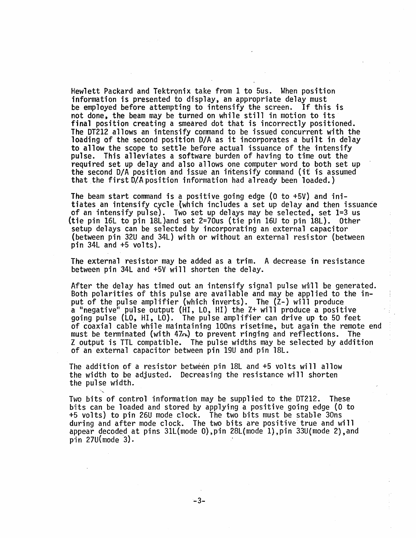Hewlett Packard and Tektronix take from 1 to 5us. When position information is presented to display, an appropriate delay must be employed before attempting to intensify the screen. If this is not done, the beam may be turned on while still in motion to its final position creating a smeared dot that is incorrectly positioned. The DT212 allows an intensify command to be issued concurrent with the loading of the second position D/A as it incorporates a built in delay to allow the scope to settle before actual issuance of the intensify<br>pulse. This alleviates a software burden of having to time out the<br>required set up delay and also allows one computer word to both set up the second D/A position and issue an intensify command (it is assumed that the first D/A position information had already been loaded.)

The beam start command is a positive going edge (0 to +5V) and initiates an intensify cycle (which includes a set up delay and then issuance of an intensify pulse). Two set up delays may be selected, set 1=3 us (tie pin 16L to pin 18L)and set 2=70us (tie pin 16U to pin ISL). Other setup delays can be selected by incorporating an external capacitor (between pin 32U and 34L) with or without an external resistor (between pin 34L and +5 volts).

The external resistor may be added as a trim. A decrease in resistance between pin '34L and +5V will shorten the delay\_

After the delay has timed out an intensify signal pulse will be generated.<br>Both polarities of this pulse are available and may be applied to the input of the pulse amplifier (which inverts). The (Z-) will produce a "negative" pulse output (HI, LO, HI) the Z+ will produce a positive<br>going pulse (LO, HI, LO). The pulse amplifier can drive up to 50 feet of coaxial cable while maintaining lOOns risetime, but again the remote end must be terminated (with 47~) to prevent ringing and reflections. The Z output is TTL compatible. The pulse widths may be selected by addition of an external capacitor between pin 19U and pin 18L.

The addition of a resistor between pin  $18L$  and  $+5$  volts will allow the width to be adjusted. Decreasing the resistance will shorten the pulse width.

Two bits of control information may be supplied to the DT212. These bits can be loaded and stored by applying a positive going edge (0 to +S volts) to pin 26U mode clock. The two bits must be stable 30ns during and after mode clock. The two bits are positive true and will appear decoded at pins  $31L$ (mode 0),pin 28L(mode 1),pin 33U(mode 2),and pin 27U(mode 3). .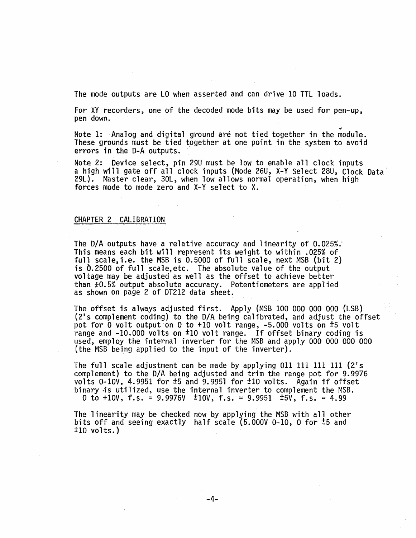The mode outputs are LO when asserted and can drive 10 TTL loads.

For XY recorders, one of the decoded mode bits may be used for pen-up,<br>pen down. pen down.

~ Note 1: Analog and digital ground are not tied together in the module. These grounds must be tied together at one point in the system to avoid errors in the D-A outputs.

Note 2: Device select, pin 29U must be low to enable all clock inputs a high will gate off all clock inputs (Mode 26U, X-V Select 28U, C10ck Data 29L). Master clear, 30L, when low allows normal operation, when high forces mode to mode zero and X-V select to X.

## CHAPTER 2 CALIBRATION

The D/A outputs have a relative accuracy and linearity of  $0.025\%$ . This means each bit will represent its weight to within .025% of full scale, i.e. the MSB is 0.5000 of full scale, next MSB (bit 2) is 0.2500 of full scale.etc. The absolute value of the output voltage may be adjusted as well as the offset to achieve better than ±0.5% output absolute accuracy. Potentiometers are applied as shown on page 2 of DT212 data sheet.

The offset is always adjusted first. Apply (MSB 100 000 000 000 (LSB)  $(2's$  complement coding) to the D/A being calibrated, and adjust the offset pot for 0 volt output on 0 to +10 volt range, -5.000 volts on  $\pm$ 5 volt range and -10.000 volts on <sup>±</sup>10 volt range. If offset binary coding is used, employ the internal inverter for the MSB and apply 000 000 000 000 (the MSB being applied to the input of the inverter).

The full scale adjustment can be made by applying 011 111 111 111  $(2's)$ complement) to the D/A being adjusted and trim the range pot for 9.9976 volts 0-10V, 4.9951 for  $\pm 5$  and 9.9951 for  $\pm 10$  volts. Again if offset binary is utilized, use the internal inverter to complement the MSB. 0 to  $+10V$ , f.s. = 9.9976V  $\pm 10V$ , f.s. = 9.9951  $\pm 5V$ , f.s. = 4.99

The linearity may be checked now by applying the MSB with all other bits off and seeing exactly half scale (5.00QV 0-10, 0 for ±5 and  $\pm 10$  volts.)